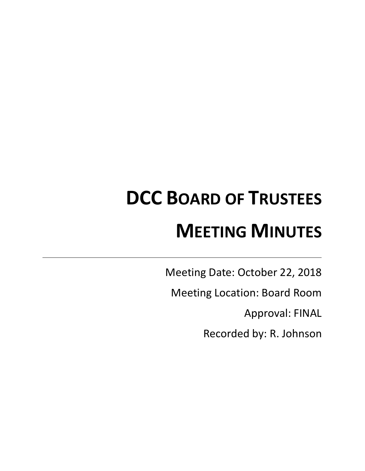# **DCC BOARD OF TRUSTEES MEETING MINUTES**

Meeting Date: October 22, 2018

Meeting Location: Board Room

Approval: FINAL

Recorded by: R. Johnson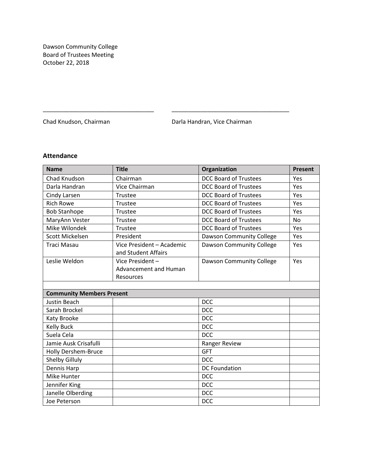Dawson Community College Board of Trustees Meeting October 22, 2018

Chad Knudson, Chairman **Darla Handran, Vice Chairman** 

\_\_\_\_\_\_\_\_\_\_\_\_\_\_\_\_\_\_\_\_\_\_\_\_\_\_\_\_\_\_\_\_\_\_ \_\_\_\_\_\_\_\_\_\_\_\_\_\_\_\_\_\_\_\_\_\_\_\_\_\_\_\_\_\_\_\_\_\_\_\_

# **Attendance**

| <b>Name</b>                      | <b>Title</b>                                                 | Organization                 | <b>Present</b> |
|----------------------------------|--------------------------------------------------------------|------------------------------|----------------|
| Chad Knudson                     | Chairman                                                     | <b>DCC Board of Trustees</b> | Yes            |
| Darla Handran                    | Vice Chairman                                                | <b>DCC Board of Trustees</b> | Yes            |
| Cindy Larsen                     | Trustee                                                      | <b>DCC Board of Trustees</b> | Yes            |
| <b>Rich Rowe</b>                 | Trustee                                                      | <b>DCC Board of Trustees</b> | Yes            |
| <b>Bob Stanhope</b>              | Trustee                                                      | <b>DCC Board of Trustees</b> | Yes            |
| MaryAnn Vester                   | Trustee                                                      | <b>DCC Board of Trustees</b> | <b>No</b>      |
| Mike Wilondek                    | Trustee                                                      | <b>DCC Board of Trustees</b> | Yes            |
| Scott Mickelsen                  | President                                                    | Dawson Community College     | Yes            |
| Traci Masau                      | Vice President - Academic<br>and Student Affairs             | Dawson Community College     | Yes            |
| Leslie Weldon                    | Vice President-<br><b>Advancement and Human</b><br>Resources | Dawson Community College     | Yes            |
| <b>Community Members Present</b> |                                                              |                              |                |
| <b>Justin Beach</b>              |                                                              | <b>DCC</b>                   |                |
| Sarah Brockel                    |                                                              | <b>DCC</b>                   |                |
| Katy Brooke                      |                                                              | <b>DCC</b>                   |                |
| <b>Kelly Buck</b>                |                                                              | <b>DCC</b>                   |                |
| Suela Cela                       |                                                              | <b>DCC</b>                   |                |
| Jamie Ausk Crisafulli            |                                                              | <b>Ranger Review</b>         |                |
| <b>Holly Dershem-Bruce</b>       |                                                              | <b>GFT</b>                   |                |
| Shelby Gilluly                   |                                                              | <b>DCC</b>                   |                |
| Dennis Harp                      |                                                              | <b>DC Foundation</b>         |                |
| Mike Hunter                      |                                                              | <b>DCC</b>                   |                |
| Jennifer King                    |                                                              | <b>DCC</b>                   |                |
| Janelle Olberding                |                                                              | <b>DCC</b>                   |                |
| Joe Peterson                     |                                                              | <b>DCC</b>                   |                |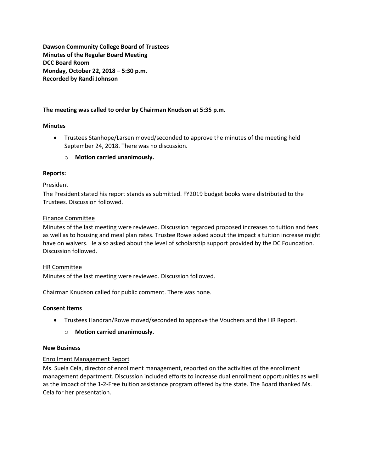**Dawson Community College Board of Trustees Minutes of the Regular Board Meeting DCC Board Room Monday, October 22, 2018 – 5:30 p.m. Recorded by Randi Johnson**

# **The meeting was called to order by Chairman Knudson at 5:35 p.m.**

# **Minutes**

- Trustees Stanhope/Larsen moved/seconded to approve the minutes of the meeting held September 24, 2018. There was no discussion.
	- o **Motion carried unanimously.**

### **Reports:**

### President

The President stated his report stands as submitted. FY2019 budget books were distributed to the Trustees. Discussion followed.

### Finance Committee

Minutes of the last meeting were reviewed. Discussion regarded proposed increases to tuition and fees as well as to housing and meal plan rates. Trustee Rowe asked about the impact a tuition increase might have on waivers. He also asked about the level of scholarship support provided by the DC Foundation. Discussion followed.

#### HR Committee

Minutes of the last meeting were reviewed. Discussion followed.

Chairman Knudson called for public comment. There was none.

# **Consent Items**

Trustees Handran/Rowe moved/seconded to approve the Vouchers and the HR Report.

# o **Motion carried unanimously.**

#### **New Business**

# Enrollment Management Report

Ms. Suela Cela, director of enrollment management, reported on the activities of the enrollment management department. Discussion included efforts to increase dual enrollment opportunities as well as the impact of the 1-2-Free tuition assistance program offered by the state. The Board thanked Ms. Cela for her presentation.